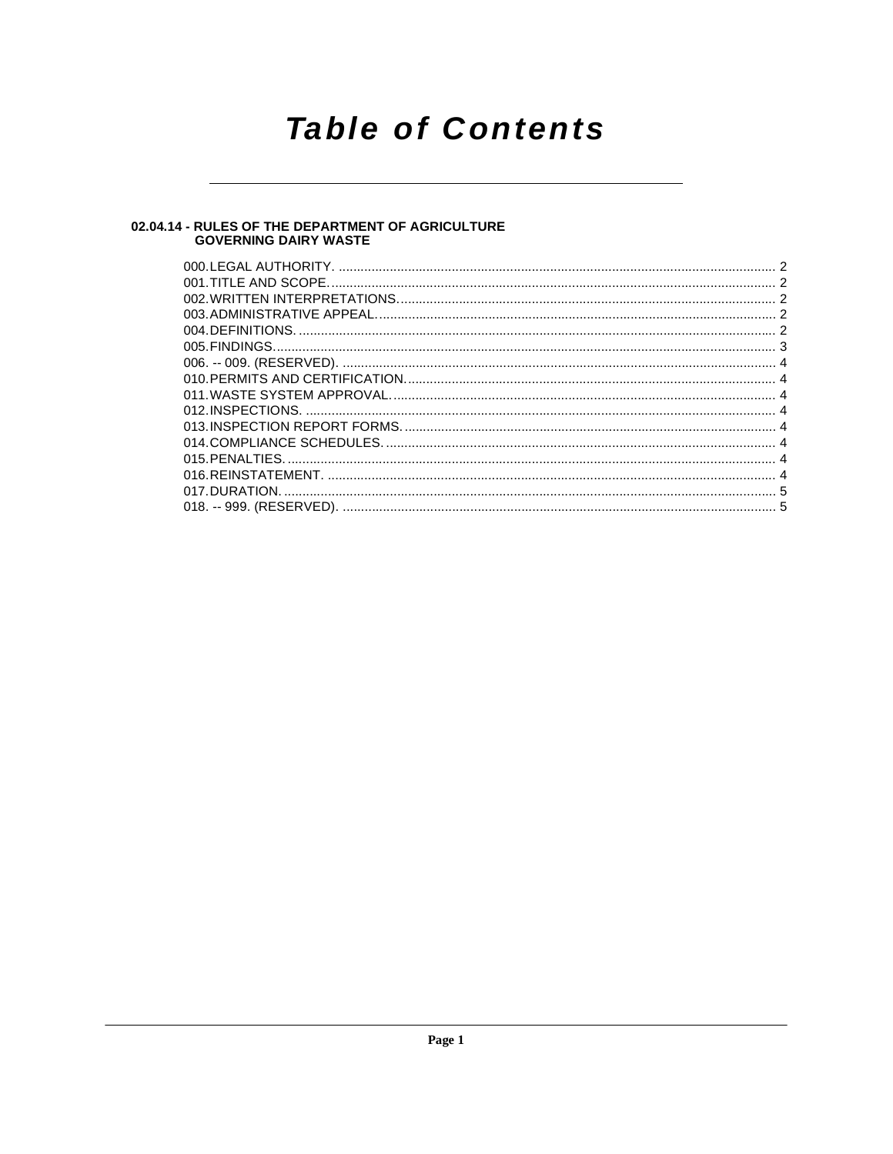# **Table of Contents**

# 02.04.14 - RULES OF THE DEPARTMENT OF AGRICULTURE<br>GOVERNING DAIRY WASTE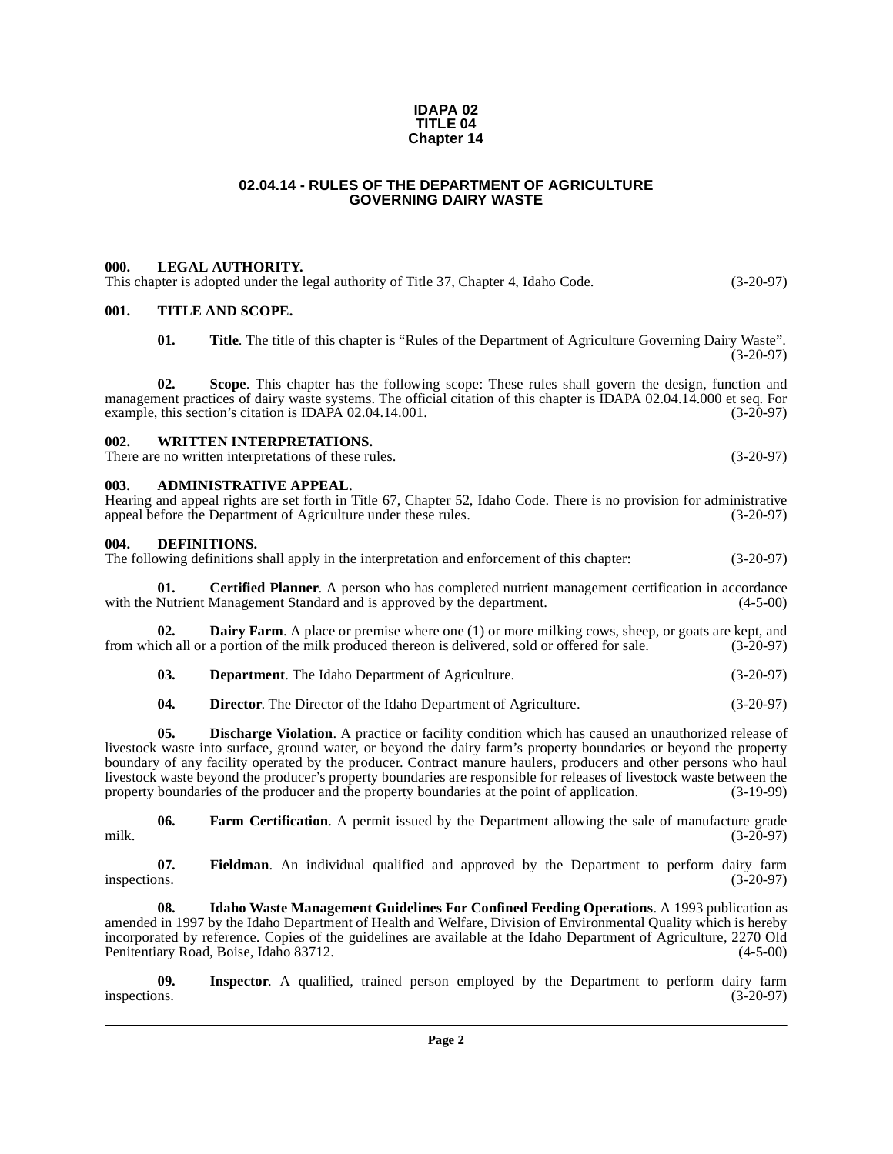#### **IDAPA 02 TITLE 04 Chapter 14**

#### **02.04.14 - RULES OF THE DEPARTMENT OF AGRICULTURE GOVERNING DAIRY WASTE**

#### <span id="page-1-1"></span><span id="page-1-0"></span>**000. LEGAL AUTHORITY.**

<span id="page-1-8"></span><span id="page-1-5"></span><span id="page-1-4"></span><span id="page-1-3"></span><span id="page-1-2"></span>**001. TITLE AND SCOPE. 01.** Title. The title of this chapter is "Rules of the Department of Agriculture Governing Dairy Waste".  $(3-20-97)$ **02. Scope**. This chapter has the following scope: These rules shall govern the design, function and management practices of dairy waste systems. The official citation of this chapter is IDAPA 02.04.14.000 et seq. For<br>(3-20-97) example, this section's citation is IDAPA 02.04.14.001. example, this section's citation is IDAPA 02.04.14.001. **002. WRITTEN INTERPRETATIONS.** There are no written interpretations of these rules. (3-20-97) **003. ADMINISTRATIVE APPEAL.** Hearing and appeal rights are set forth in Title 67, Chapter 52, Idaho Code. There is no provision for administrative appeal before the Department of Agriculture under these rules. (3-20-97) **004. DEFINITIONS.** The following definitions shall apply in the interpretation and enforcement of this chapter: (3-20-97) **01. Certified Planner**. A person who has completed nutrient management certification in accordance with the Nutrient Management Standard and is approved by the department. (4-5-00) **02. Dairy Farm**. A place or premise where one (1) or more milking cows, sheep, or goats are kept, and from which all or a portion of the milk produced thereon is delivered, sold or offered for sale. (3-20-97) **03. Department**. The Idaho Department of Agriculture. (3-20-97) **04. Director**. The Director of the Idaho Department of Agriculture. (3-20-97) **05. Discharge Violation**. A practice or facility condition which has caused an unauthorized release of livestock waste into surface, ground water, or beyond the dairy farm's property boundaries or beyond the property boundary of any facility operated by the producer. Contract manure haulers, producers and other persons who haul livestock waste beyond the producer's property boundaries are responsible for releases of livestock waste between the property boundaries of the producer and the property boundaries at the point of application. (3-19-99) property boundaries of the producer and the property boundaries at the point of application.

<span id="page-1-12"></span><span id="page-1-11"></span><span id="page-1-10"></span><span id="page-1-9"></span><span id="page-1-7"></span><span id="page-1-6"></span>**06.** Farm Certification. A permit issued by the Department allowing the sale of manufacture grade (3-20-97) milk. (3-20-97)

<span id="page-1-13"></span>**07.** Fieldman. An individual qualified and approved by the Department to perform dairy farm inspections. (3-20-97) inspections. (3-20-97)

<span id="page-1-14"></span>**08. Idaho Waste Management Guidelines For Confined Feeding Operations**. A 1993 publication as amended in 1997 by the Idaho Department of Health and Welfare, Division of Environmental Quality which is hereby incorporated by reference. Copies of the guidelines are available at the Idaho Department of Agriculture, 2270 Old Penitentiary Road, Boise, Idaho 83712. (4-5-00)

<span id="page-1-15"></span>**09. Inspector**. A qualified, trained person employed by the Department to perform dairy farm inspections. (3-20-97)

This chapter is adopted under the legal authority of Title 37, Chapter 4, Idaho Code. (3-20-97)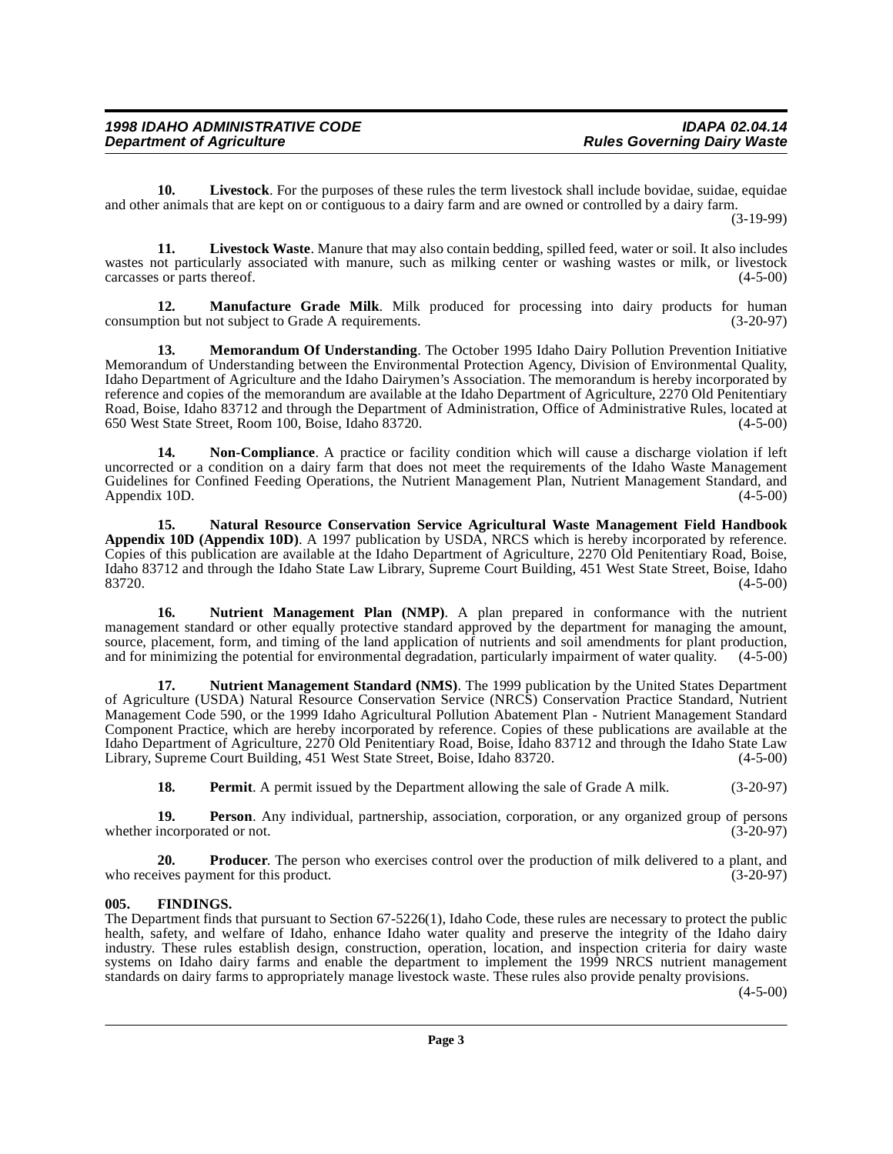<span id="page-2-2"></span>**10. Livestock**. For the purposes of these rules the term livestock shall include bovidae, suidae, equidae and other animals that are kept on or contiguous to a dairy farm and are owned or controlled by a dairy farm.

(3-19-99)

<span id="page-2-3"></span>**11. Livestock Waste**. Manure that may also contain bedding, spilled feed, water or soil. It also includes wastes not particularly associated with manure, such as milking center or washing wastes or milk, or livestock carcasses or parts thereof.  $(4-5-00)$ 

<span id="page-2-4"></span>**12. Manufacture Grade Milk**. Milk produced for processing into dairy products for human tion but not subject to Grade A requirements. (3-20-97) consumption but not subject to Grade A requirements.

<span id="page-2-5"></span>**13. Memorandum Of Understanding**. The October 1995 Idaho Dairy Pollution Prevention Initiative Memorandum of Understanding between the Environmental Protection Agency, Division of Environmental Quality, Idaho Department of Agriculture and the Idaho Dairymen's Association. The memorandum is hereby incorporated by reference and copies of the memorandum are available at the Idaho Department of Agriculture, 2270 Old Penitentiary Road, Boise, Idaho 83712 and through the Department of Administration, Office of Administrative Rules, located at 650 West State Street, Room 100, Boise, Idaho 83720.

<span id="page-2-7"></span>**14. Non-Compliance**. A practice or facility condition which will cause a discharge violation if left uncorrected or a condition on a dairy farm that does not meet the requirements of the Idaho Waste Management Guidelines for Confined Feeding Operations, the Nutrient Management Plan, Nutrient Management Standard, and Appendix 10D. (4-5-00) Appendix 10D.

<span id="page-2-6"></span>**15. Natural Resource Conservation Service Agricultural Waste Management Field Handbook Appendix 10D (Appendix 10D)**. A 1997 publication by USDA, NRCS which is hereby incorporated by reference. Copies of this publication are available at the Idaho Department of Agriculture, 2270 Old Penitentiary Road, Boise, Idaho 83712 and through the Idaho State Law Library, Supreme Court Building, 451 West State Street, Boise, Idaho 83720. (4-5-00)

<span id="page-2-8"></span>**16. Nutrient Management Plan (NMP)**. A plan prepared in conformance with the nutrient management standard or other equally protective standard approved by the department for managing the amount, source, placement, form, and timing of the land application of nutrients and soil amendments for plant production, and for minimizing the potential for environmental degradation, particularly impairment of water quality. (4-5-00)

<span id="page-2-9"></span>**17. Nutrient Management Standard (NMS)**. The 1999 publication by the United States Department of Agriculture (USDA) Natural Resource Conservation Service (NRCS) Conservation Practice Standard, Nutrient Management Code 590, or the 1999 Idaho Agricultural Pollution Abatement Plan - Nutrient Management Standard Component Practice, which are hereby incorporated by reference. Copies of these publications are available at the Idaho Department of Agriculture, 2270 Old Penitentiary Road, Boise, Idaho 83712 and through the Idaho State Law Library, Supreme Court Building, 451 West State Street, Boise, Idaho 83720. (4-5-00)

<span id="page-2-12"></span><span id="page-2-11"></span><span id="page-2-10"></span>**18. Permit**. A permit issued by the Department allowing the sale of Grade A milk. (3-20-97)

**19. Person**. Any individual, partnership, association, corporation, or any organized group of persons incorporated or not. (3-20-97) whether incorporated or not.

**20. Producer**. The person who exercises control over the production of milk delivered to a plant, and ives payment for this product. (3-20-97) who receives payment for this product.

#### <span id="page-2-1"></span><span id="page-2-0"></span>**005. FINDINGS.**

The Department finds that pursuant to Section 67-5226(1), Idaho Code, these rules are necessary to protect the public health, safety, and welfare of Idaho, enhance Idaho water quality and preserve the integrity of the Idaho dairy industry. These rules establish design, construction, operation, location, and inspection criteria for dairy waste systems on Idaho dairy farms and enable the department to implement the 1999 NRCS nutrient management standards on dairy farms to appropriately manage livestock waste. These rules also provide penalty provisions.

 $(4-5-00)$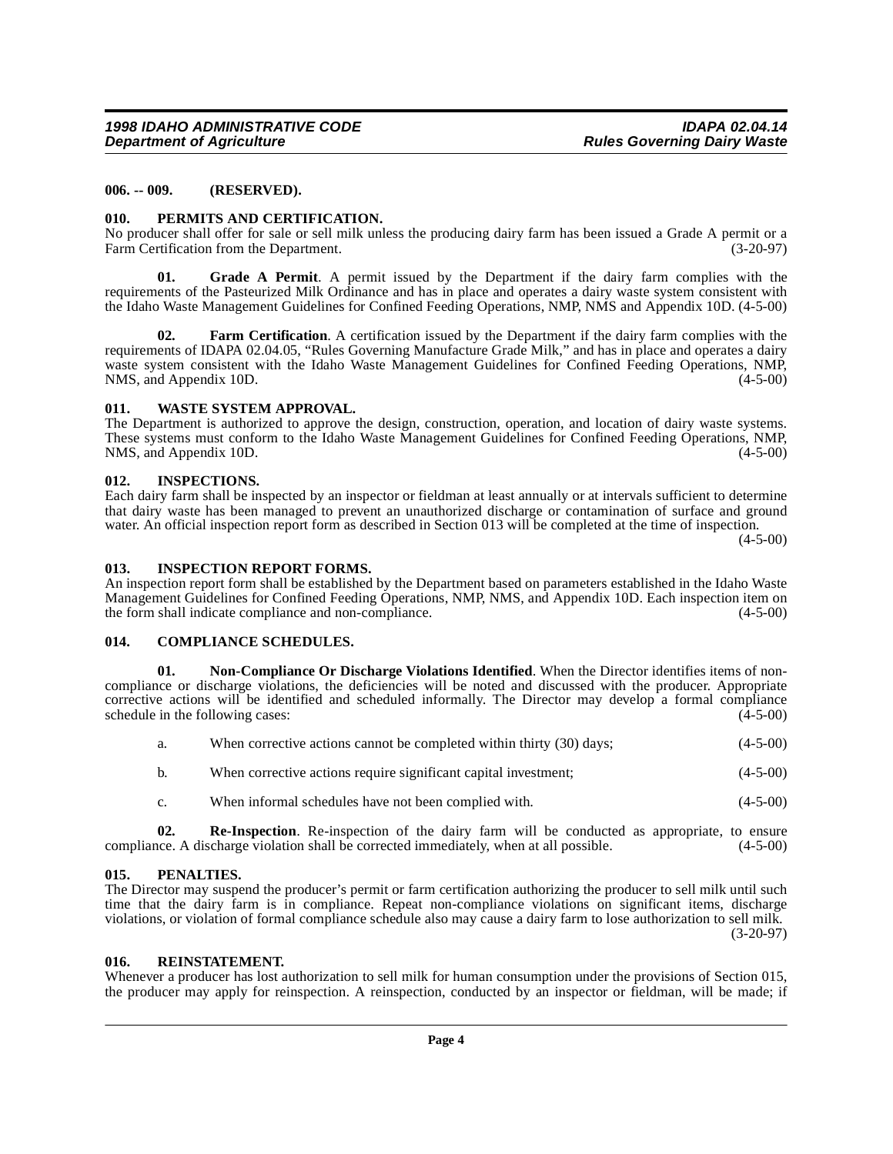#### <span id="page-3-0"></span>**006. -- 009. (RESERVED).**

#### <span id="page-3-15"></span><span id="page-3-1"></span>**010. PERMITS AND CERTIFICATION.**

No producer shall offer for sale or sell milk unless the producing dairy farm has been issued a Grade A permit or a Farm Certification from the Department. (3-20-97)

<span id="page-3-10"></span>**01. Grade A Permit**. A permit issued by the Department if the dairy farm complies with the requirements of the Pasteurized Milk Ordinance and has in place and operates a dairy waste system consistent with the Idaho Waste Management Guidelines for Confined Feeding Operations, NMP, NMS and Appendix 10D. (4-5-00)

<span id="page-3-9"></span>**02. Farm Certification**[. A certification issued by the Department if the dairy farm complies with the](http://www2.state.id.us/adm/adminrules/rules/idapa02/0405.pdf) requirements of IDAPA 02.04.05, "Rules Governing Manufacture Grade Milk," and has in place and operates a dairy waste system consistent with the Idaho Waste Management Guidelines for Confined Feeding Operations, NMP, [NMS, and Appendix 10D. \(4-5-00\)](http://www2.state.id.us/adm/adminrules/rules/idapa02/0405.pdf)

#### <span id="page-3-17"></span><span id="page-3-2"></span>**011. WASTE SYSTEM APPROVAL.**

The Department is authorized to approve the design, construction, operation, and location of dairy waste systems. These systems must conform to the Idaho Waste Management Guidelines for Confined Feeding Operations, NMP, NMS, and Appendix 10D. (4-5-00)

#### <span id="page-3-12"></span><span id="page-3-3"></span>**012. INSPECTIONS.**

Each dairy farm shall be inspected by an inspector or fieldman at least annually or at intervals sufficient to determine that dairy waste has been managed to prevent an unauthorized discharge or contamination of surface and ground water. An official inspection report form as described in Section 013 will be completed at the time of inspection.

 $(4-5-00)$ 

#### <span id="page-3-11"></span><span id="page-3-4"></span>**013. INSPECTION REPORT FORMS.**

An inspection report form shall be established by the Department based on parameters established in the Idaho Waste Management Guidelines for Confined Feeding Operations, NMP, NMS, and Appendix 10D. Each inspection item on the form shall indicate compliance and non-compliance. (4-5-00)

#### <span id="page-3-8"></span><span id="page-3-5"></span>**014. COMPLIANCE SCHEDULES.**

**01. Non-Compliance Or Discharge Violations Identified**. When the Director identifies items of noncompliance or discharge violations, the deficiencies will be noted and discussed with the producer. Appropriate corrective actions will be identified and scheduled informally. The Director may develop a formal compliance schedule in the following cases: (4-5-00)

<span id="page-3-13"></span>

| а. | When corrective actions cannot be completed within thirty (30) days; | $(4-5-00)$ |
|----|----------------------------------------------------------------------|------------|
| b. | When corrective actions require significant capital investment;      | $(4-5-00)$ |

c. When informal schedules have not been complied with. (4-5-00)

**02. Re-Inspection**. Re-inspection of the dairy farm will be conducted as appropriate, to ensure compliance. A discharge violation shall be corrected immediately, when at all possible. (4-5-00)

#### <span id="page-3-14"></span><span id="page-3-6"></span>**015. PENALTIES.**

The Director may suspend the producer's permit or farm certification authorizing the producer to sell milk until such time that the dairy farm is in compliance. Repeat non-compliance violations on significant items, discharge violations, or violation of formal compliance schedule also may cause a dairy farm to lose authorization to sell milk. (3-20-97)

#### <span id="page-3-16"></span><span id="page-3-7"></span>**016. REINSTATEMENT.**

Whenever a producer has lost authorization to sell milk for human consumption under the provisions of Section 015, the producer may apply for reinspection. A reinspection, conducted by an inspector or fieldman, will be made; if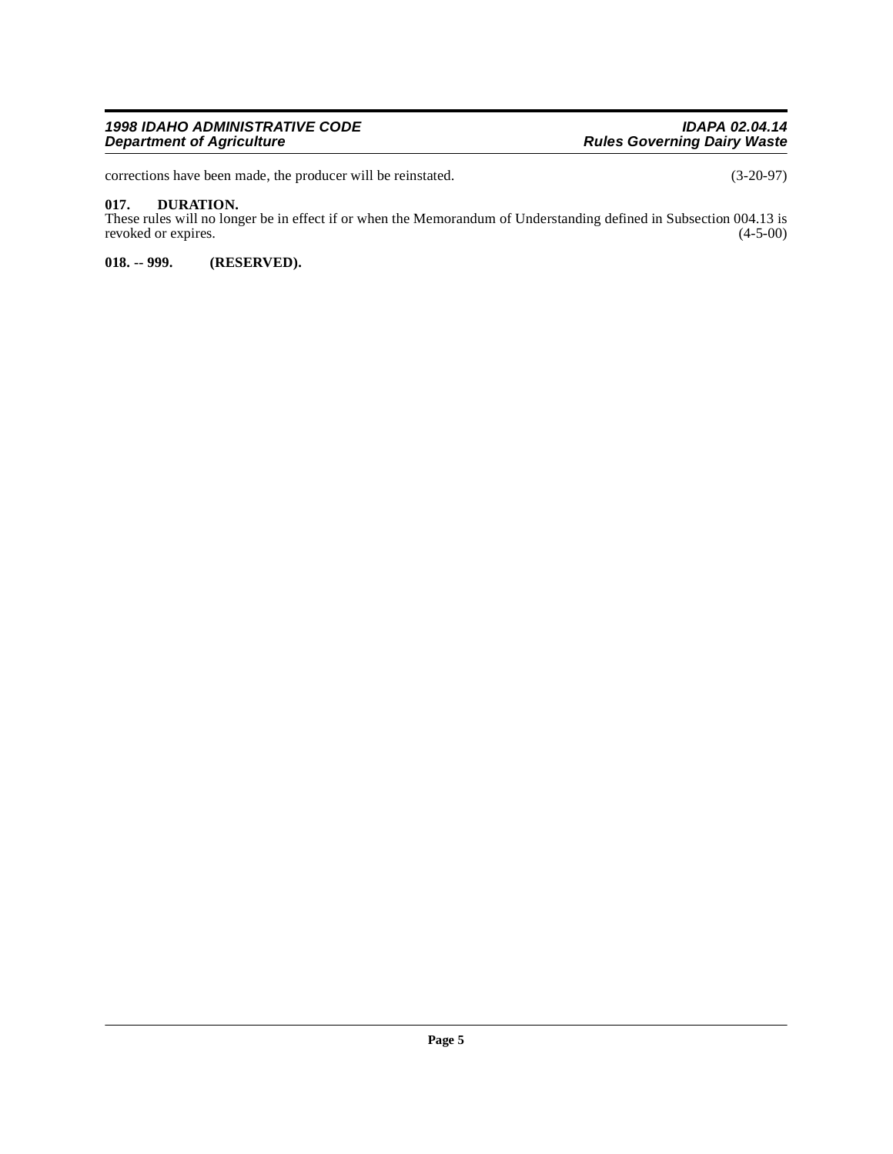#### **1998 IDAHO ADMINISTRATIVE CODE IDAPA 02.04.14 Department of Agriculture Agriculture Rules Governing Dairy Waste**

corrections have been made, the producer will be reinstated. (3-20-97)

#### <span id="page-4-2"></span><span id="page-4-0"></span>**017. DURATION.**

These rules will no longer be in effect if or when the Memorandum of Understanding defined in Subsection 004.13 is revoked or expires. (4-5-00)

<span id="page-4-1"></span>**018. -- 999. (RESERVED).**